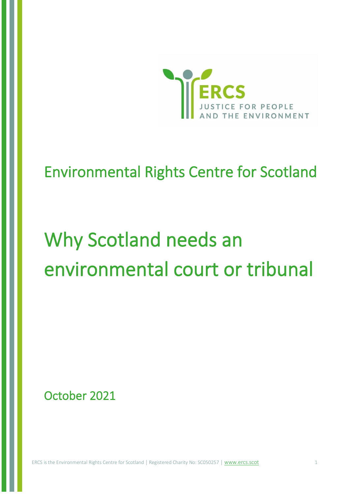

# Environmental Rights Centre for Scotland

# Why Scotland needs an environmental court or tribunal

October 2021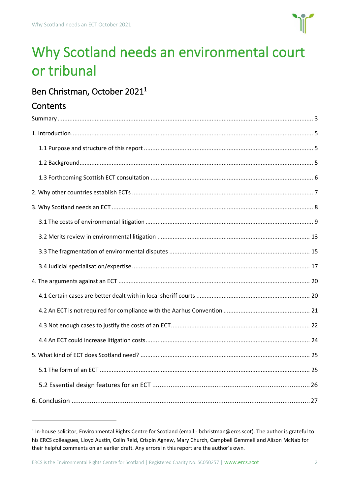

# Why Scotland needs an environmental court or tribunal

# Ben Christman, October 2021<sup>1</sup>

### **Contents**

<sup>&</sup>lt;sup>1</sup> In-house solicitor, Environmental Rights Centre for Scotland (email - bchristman@ercs.scot). The author is grateful to his ERCS colleagues, Lloyd Austin, Colin Reid, Crispin Agnew, Mary Church, Campbell Gemmell and Alison McNab for their helpful comments on an earlier draft. Any errors in this report are the author's own.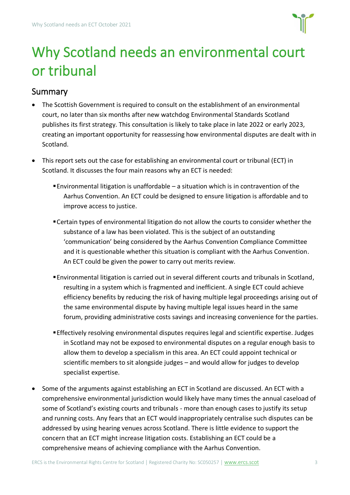

# <span id="page-2-0"></span>Why Scotland needs an environmental court or tribunal

## **Summary**

- The Scottish Government is required to consult on the establishment of an environmental court, no later than six months after new watchdog Environmental Standards Scotland publishes its first strategy. This consultation is likely to take place in late 2022 or early 2023, creating an important opportunity for reassessing how environmental disputes are dealt with in Scotland.
- This report sets out the case for establishing an environmental court or tribunal (ECT) in Scotland. It discusses the four main reasons why an ECT is needed:
	- **Environmental litigation is unaffordable a situation which is in contravention of the** Aarhus Convention. An ECT could be designed to ensure litigation is affordable and to improve access to justice.
	- Certain types of environmental litigation do not allow the courts to consider whether the substance of a law has been violated. This is the subject of an outstanding 'communication' being considered by the Aarhus Convention Compliance Committee and it is questionable whether this situation is compliant with the Aarhus Convention. An ECT could be given the power to carry out merits review.
	- ▪Environmental litigation is carried out in several different courts and tribunals in Scotland, resulting in a system which is fragmented and inefficient. A single ECT could achieve efficiency benefits by reducing the risk of having multiple legal proceedings arising out of the same environmental dispute by having multiple legal issues heard in the same forum, providing administrative costs savings and increasing convenience for the parties.
	- ▪Effectively resolving environmental disputes requires legal and scientific expertise. Judges in Scotland may not be exposed to environmental disputes on a regular enough basis to allow them to develop a specialism in this area. An ECT could appoint technical or scientific members to sit alongside judges – and would allow for judges to develop specialist expertise.
- Some of the arguments against establishing an ECT in Scotland are discussed. An ECT with a comprehensive environmental jurisdiction would likely have many times the annual caseload of some of Scotland's existing courts and tribunals - more than enough cases to justify its setup and running costs. Any fears that an ECT would inappropriately centralise such disputes can be addressed by using hearing venues across Scotland. There is little evidence to support the concern that an ECT might increase litigation costs. Establishing an ECT could be a comprehensive means of achieving compliance with the Aarhus Convention.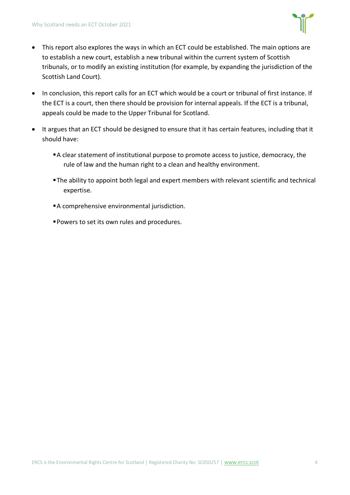

- This report also explores the ways in which an ECT could be established. The main options are to establish a new court, establish a new tribunal within the current system of Scottish tribunals, or to modify an existing institution (for example, by expanding the jurisdiction of the Scottish Land Court).
- In conclusion, this report calls for an ECT which would be a court or tribunal of first instance. If the ECT is a court, then there should be provision for internal appeals. If the ECT is a tribunal, appeals could be made to the Upper Tribunal for Scotland.
- It argues that an ECT should be designed to ensure that it has certain features, including that it should have:
	- A clear statement of institutional purpose to promote access to justice, democracy, the rule of law and the human right to a clean and healthy environment.
	- **The ability to appoint both legal and expert members with relevant scientific and technical** expertise.
	- A comprehensive environmental jurisdiction.
	- Powers to set its own rules and procedures.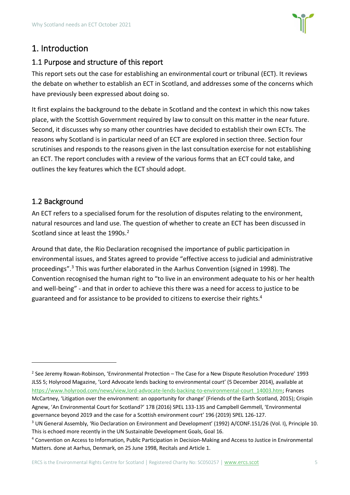

### <span id="page-4-0"></span>1. Introduction

#### <span id="page-4-1"></span>1.1 Purpose and structure of this report

This report sets out the case for establishing an environmental court or tribunal (ECT). It reviews the debate on whether to establish an ECT in Scotland, and addresses some of the concerns which have previously been expressed about doing so.

It first explains the background to the debate in Scotland and the context in which this now takes place, with the Scottish Government required by law to consult on this matter in the near future. Second, it discusses why so many other countries have decided to establish their own ECTs. The reasons why Scotland is in particular need of an ECT are explored in section three. Section four scrutinises and responds to the reasons given in the last consultation exercise for not establishing an ECT. The report concludes with a review of the various forms that an ECT could take, and outlines the key features which the ECT should adopt.

#### <span id="page-4-2"></span>1.2 Background

An ECT refers to a specialised forum for the resolution of disputes relating to the environment, natural resources and land use. The question of whether to create an ECT has been discussed in Scotland since at least the 1990s.<sup>2</sup>

Around that date, the Rio Declaration recognised the importance of public participation in environmental issues, and States agreed to provide "effective access to judicial and administrative proceedings".<sup>3</sup> This was further elaborated in the Aarhus Convention (signed in 1998). The Convention recognised the human right to "to live in an environment adequate to his or her health and well-being" - and that in order to achieve this there was a need for access to justice to be guaranteed and for assistance to be provided to citizens to exercise their rights. 4

<sup>2</sup> See Jeremy Rowan-Robinson, 'Environmental Protection – The Case for a New Dispute Resolution Procedure' 1993 JLSS 5; Holyrood Magazine, 'Lord Advocate lends backing to environmental court' (5 December 2014), available at [https://www.holyrood.com/news/view,lord-advocate-lends-backing-to-environmental-court\\_14003.htm;](https://www.holyrood.com/news/view,lord-advocate-lends-backing-to-environmental-court_14003.htm) Frances McCartney, 'Litigation over the environment: an opportunity for change' (Friends of the Earth Scotland, 2015); Crispin Agnew, 'An Environmental Court for Scotland?' 178 (2016) SPEL 133-135 and Campbell Gemmell, 'Environmental governance beyond 2019 and the case for a Scottish environment court' 196 (2019) SPEL 126-127.

<sup>&</sup>lt;sup>3</sup> UN General Assembly, 'Rio Declaration on Environment and Development' (1992) A/CONF.151/26 (Vol. I), Principle 10. This is echoed more recently in the UN Sustainable Development Goals, Goal 16.

<sup>4</sup> Convention on Access to Information, Public Participation in Decision-Making and Access to Justice in Environmental Matters. done at Aarhus, Denmark, on 25 June 1998, Recitals and Article 1.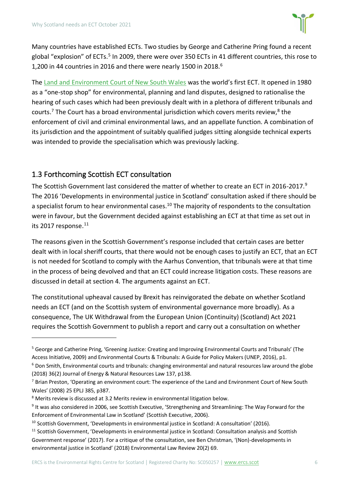

Many countries have established ECTs. Two studies by George and Catherine Pring found a recent global "explosion" of ECTs.<sup>5</sup> In 2009, there were over 350 ECTs in 41 different countries, this rose to 1,200 in 44 countries in 2016 and there were nearly 1500 in 2018.<sup>6</sup>

The [Land and Environment Court of New South Wales](http://www.lec.justice.nsw.gov.au/Pages/about/history.aspx) was the world's first ECT. It opened in 1980 as a "one-stop shop" for environmental, planning and land disputes, designed to rationalise the hearing of such cases which had been previously dealt with in a plethora of different tribunals and courts.<sup>7</sup> The Court has a broad environmental jurisdiction which covers merits review,<sup>8</sup> the enforcement of civil and criminal environmental laws, and an appellate function. A combination of its jurisdiction and the appointment of suitably qualified judges sitting alongside technical experts was intended to provide the specialisation which was previously lacking.

#### <span id="page-5-0"></span>1.3 Forthcoming Scottish ECT consultation

The Scottish Government last considered the matter of whether to create an ECT in 2016-2017.<sup>9</sup> The 2016 'Developm[ents in environmental justice in Scotland'](https://consult.gov.scot/courts-judicial-appointments-policy-unit/environmental-justice/) consultation asked if there should be a specialist forum to hear environmental cases.<sup>10</sup> The majority of respondents to the consultation were in favour, but the Government decided against establishing an ECT at that time as set out in its [2017 response.](https://www.gov.scot/binaries/content/documents/govscot/publications/research-and-analysis/2017/09/developments-environmental-justice-scotland-analysis-response/documents/00525265-pdf/00525265-pdf/govscot%3Adocument/00525265.pdf)<sup>11</sup>

The reasons given in the Scottish Government's response included that certain cases are better dealt with in local sheriff courts, that there would not be enough cases to justify an ECT, that an ECT is not needed for Scotland to comply with the Aarhus Convention, that tribunals were at that time in the process of being devolved and that an ECT could increase litigation costs. These reasons are discussed in detail at section [4. The arguments against an ECT.](#page-19-0)

The constitutional upheaval caused by Brexit has reinvigorated the debate on whether Scotland needs an ECT (and on the Scottish system of environmental governance more broadly). As a consequence, The UK Withdrawal from the European Union (Continuity) (Scotland) Act 2021 requires the Scottish Government to publish a report and carry out a consultation on whether

<sup>5</sup> George and Catherine Pring, 'Greening Justice: Creating and Improving Environmental Courts and Tribunals' (The Access Initiative, 2009) and Environmental Courts & Tribunals: A Guide for Policy Makers (UNEP, 2016), p1.

<sup>6</sup> Don Smith, Environmental courts and tribunals: changing environmental and natural resources law around the globe (2018) 36(2) Journal of Energy & Natural Resources Law 137, p138.

 $7$  Brian Preston, 'Operating an environment court: The experience of the Land and Environment Court of New South Wales' (2008) 25 EPLJ 385, p387.

<sup>&</sup>lt;sup>8</sup> Merits review is discussed at 3.2 Merits review [in environmental litigation](#page-12-0) below.

<sup>&</sup>lt;sup>9</sup> It was also considered in 2006, see Scottish Executive, 'Strengthening and Streamlining: The Way Forward for the Enforcement of Environmental Law in Scotland' (Scottish Executive, 2006).

<sup>&</sup>lt;sup>10</sup> Scottish Government, 'Developments in environmental justice in Scotland: A consultation' (2016).

<sup>&</sup>lt;sup>11</sup> Scottish Government, 'Developments in environmental justice in Scotland: Consultation analysis and Scottish Government response' (2017). For a critique of the consultation, see Ben Christman, '(Non)-developments in environmental justice in Scotland' (2018) Environmental Law Review 20(2) 69.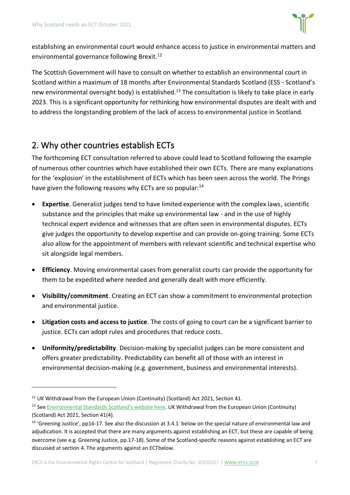

establishing an environmental court would enhance access to justice in environmental matters and environmental governance following Brexit.<sup>12</sup>

The Scottish Government will have to consult on whether to establish an environmental court in Scotland within a maximum of 18 months after Environmental Standards Scotland (ESS - Scotland's new environmental oversight body) is established.<sup>13</sup> The consultation is likely to take place in early 2023. This is a significant opportunity for rethinking how environmental disputes are dealt with and to address the longstanding problem of the lack of access to environmental justice in Scotland.

## <span id="page-6-0"></span>2. Why other countries establish ECTs

The forthcoming ECT consultation referred to above could lead to Scotland following the example of numerous other countries which have established their own ECTs. There are many explanations for the 'explosion' in the establishment of ECTs which has been seen across the world. The Prings have given the following reasons why ECTs are so popular:<sup>14</sup>

- **Expertise**. Generalist judges tend to have limited experience with the complex laws, scientific substance and the principles that make up environmental law - and in the use of highly technical expert evidence and witnesses that are often seen in environmental disputes. ECTs give judges the opportunity to develop expertise and can provide on-going training. Some ECTs also allow for the appointment of members with relevant scientific and technical expertise who sit alongside legal members.
- **Efficiency**. Moving environmental cases from generalist courts can provide the opportunity for them to be expedited where needed and generally dealt with more efficiently.
- **Visibility/commitment**. Creating an ECT can show a commitment to environmental protection and environmental justice.
- **Litigation costs and access to justice**. The costs of going to court can be a significant barrier to justice. ECTs can adopt rules and procedures that reduce costs.
- **Uniformity/predictability**. Decision-making by specialist judges can be more consistent and offers greater predictability. Predictability can benefit all of those with an interest in environmental decision-making (e.g. government, business and environmental interests).

<sup>&</sup>lt;sup>12</sup> UK Withdrawal from the European Union (Continuity) (Scotland) Act 2021, Section 41.

<sup>&</sup>lt;sup>13</sup> See [Environmental Standards Scotland's website here](https://environmentalstandards.scot/). UK Withdrawal from the European Union (Continuity) (Scotland) Act 2021, Section 41(4).

<sup>&</sup>lt;sup>14</sup> 'Greening Justice', pp14-17. See also the discussion at [3.4.1](#page-16-1) below on the special nature of environmental law and adjudication. It is accepted that there are many arguments against establishing an ECT, but these are capable of being overcome (see e.g. Greening Justice, pp.17-18). Some of the Scotland-specific reasons against establishing an ECT are discussed at section [4. The arguments against an ECTb](#page-19-0)elow.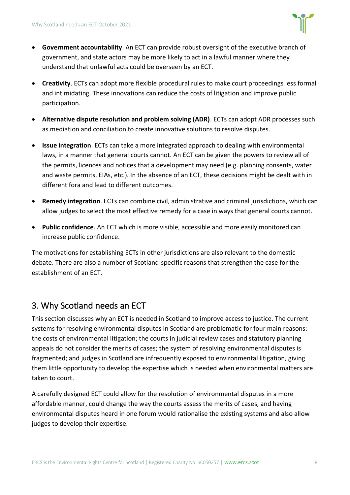

- **Government accountability**. An ECT can provide robust oversight of the executive branch of government, and state actors may be more likely to act in a lawful manner where they understand that unlawful acts could be overseen by an ECT.
- **Creativity**. ECTs can adopt more flexible procedural rules to make court proceedings less formal and intimidating. These innovations can reduce the costs of litigation and improve public participation.
- **Alternative dispute resolution and problem solving (ADR)**. ECTs can adopt ADR processes such as mediation and conciliation to create innovative solutions to resolve disputes.
- **Issue integration**. ECTs can take a more integrated approach to dealing with environmental laws, in a manner that general courts cannot. An ECT can be given the powers to review all of the permits, licences and notices that a development may need (e.g. planning consents, water and waste permits, EIAs, etc.). In the absence of an ECT, these decisions might be dealt with in different fora and lead to different outcomes.
- **Remedy integration**. ECTs can combine civil, administrative and criminal jurisdictions, which can allow judges to select the most effective remedy for a case in ways that general courts cannot.
- **Public confidence**. An ECT which is more visible, accessible and more easily monitored can increase public confidence.

The motivations for establishing ECTs in other jurisdictions are also relevant to the domestic debate. There are also a number of Scotland-specific reasons that strengthen the case for the establishment of an ECT.

# <span id="page-7-0"></span>3. Why Scotland needs an ECT

This section discusses why an ECT is needed in Scotland to improve access to justice. The current systems for resolving environmental disputes in Scotland are problematic for four main reasons: the costs of environmental litigation; the courts in judicial review cases and statutory planning appeals do not consider the merits of cases; the system of resolving environmental disputes is fragmented; and judges in Scotland are infrequently exposed to environmental litigation, giving them little opportunity to develop the expertise which is needed when environmental matters are taken to court.

A carefully designed ECT could allow for the resolution of environmental disputes in a more affordable manner, could change the way the courts assess the merits of cases, and having environmental disputes heard in one forum would rationalise the existing systems and also allow judges to develop their expertise.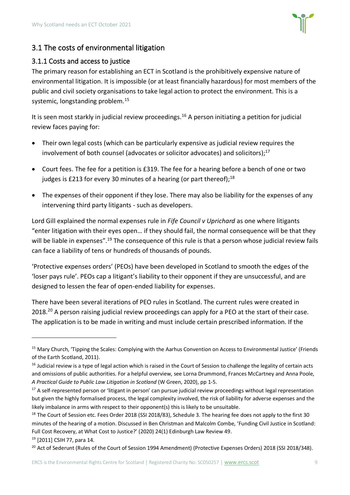

#### <span id="page-8-0"></span>3.1 The costs of environmental litigation

#### <span id="page-8-1"></span>3.1.1 Costs and access to justice

The primary reason for establishing an ECT in Scotland is the prohibitively expensive nature of environmental litigation. It is impossible (or at least financially hazardous) for most members of the public and civil society organisations to take legal action to protect the environment. This is a systemic, longstanding problem.<sup>15</sup>

It is seen most starkly in judicial review proceedings.<sup>16</sup> A person initiating a petition for judicial review faces paying for:

- Their own legal costs (which can be particularly expensive as judicial review requires the involvement of both counsel (advocates or solicitor advocates) and solicitors); 17
- Court fees. The fee for a petition is £319. The fee for a hearing before a bench of one or two judges is £213 for every 30 minutes of a hearing (or part thereof); $^{18}$
- The expenses of their opponent if they lose. There may also be liability for the expenses of any intervening third party litigants - such as developers.

Lord Gill explained the normal expenses rule in *Fife Council v Uprichard* as one where litigants "enter litigation with their eyes open… if they should fail, the normal consequence will be that they will be liable in expenses".<sup>19</sup> The consequence of this rule is that a person whose judicial review fails can face a liability of tens or hundreds of thousands of pounds.

'Protective expenses orders' (PEOs) have been developed in Scotland to smooth the edges of the 'loser pays rule'. PEOs cap a litigant's liability to their opponent if they are unsuccessful, and are designed to lessen the fear of open-ended liability for expenses.

There have been several iterations of PEO rules in Scotland. The current rules were created in 2018.<sup>20</sup> A person raising judicial review proceedings can apply for a PEO at the start of their case. The application is to be made in writing and must include certain prescribed information. If the

<sup>19</sup> [2011] CSIH 77, para 14.

<sup>&</sup>lt;sup>15</sup> Mary Church, 'Tipping the Scales: Complying with the Aarhus Convention on Access to Environmental Justice' (Friends of the Earth Scotland, 2011).

<sup>&</sup>lt;sup>16</sup> Judicial review is a type of legal action which is raised in the Court of Session to challenge the legality of certain acts and omissions of public authorities. For a helpful overview, see Lorna Drummond, Frances McCartney and Anna Poole, *A Practical Guide to Public Law Litigation in Scotland* (W Green, 2020), pp 1-5.

<sup>&</sup>lt;sup>17</sup> A self-represented person or 'litigant in person' can pursue judicial review proceedings without legal representation but given the highly formalised process, the legal complexity involved, the risk of liability for adverse expenses and the likely imbalance in arms with respect to their opponent(s) this is likely to be unsuitable.

<sup>&</sup>lt;sup>18</sup> The Court of Session etc. Fees Order 2018 (SSI 2018/83), Schedule 3. The hearing fee does not apply to the first 30 minutes of the hearing of a motion. Discussed in Ben Christman and Malcolm Combe, 'Funding Civil Justice in Scotland: Full Cost Recovery, at What Cost to Justice?' (2020) 24(1) Edinburgh Law Review 49.

<sup>&</sup>lt;sup>20</sup> Act of Sederunt (Rules of the Court of Session 1994 Amendment) (Protective Expenses Orders) 2018 (SSI 2018/348).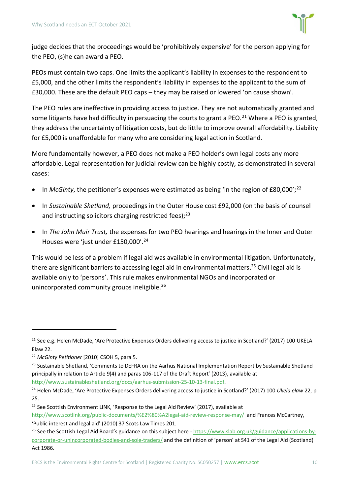

judge decides that the proceedings would be 'prohibitively expensive' for the person applying for the PEO, (s)he can award a PEO.

PEOs must contain two caps. One limits the applicant's liability in expenses to the respondent to £5,000, and the other limits the respondent's liability in expenses to the applicant to the sum of £30,000. These are the default PEO caps – they may be raised or lowered 'on cause shown'.

The PEO rules are ineffective in providing access to justice. They are not automatically granted and some litigants have had difficulty in persuading the courts to grant a PEO.<sup>21</sup> Where a PEO is granted, they address the uncertainty of litigation costs, but do little to improve overall affordability. Liability for £5,000 is unaffordable for many who are considering legal action in Scotland.

More fundamentally however, a PEO does not make a PEO holder's own legal costs any more affordable. Legal representation for judicial review can be highly costly, as demonstrated in several cases:

- In *McGinty*, the petitioner's expenses were estimated as being 'in the region of £80,000';<sup>22</sup>
- In *Sustainable Shetland,* proceedings in the Outer House cost £92,000 (on the basis of counsel and instructing solicitors charging restricted fees):<sup>23</sup>
- In *The John Muir Trust,* the expenses for two PEO hearings and hearings in the Inner and Outer Houses were 'just under £150,000'.<sup>24</sup>

This would be less of a problem if legal aid was available in environmental litigation. Unfortunately, there are significant barriers to accessing legal aid in environmental matters. <sup>25</sup> Civil legal aid is available only to 'persons'. This rule makes environmental NGOs and incorporated or unincorporated community groups ineligible.<sup>26</sup>

http://www.sustainableshetland.org/docs/aarhus-submission-25-10-13-final.pdf.

<sup>&</sup>lt;sup>21</sup> See e.g. Helen McDade, 'Are Protective Expenses Orders delivering access to justice in Scotland?' (2017) 100 UKELA Elaw 22.

<sup>22</sup> *McGinty Petitioner* [2010] CSOH 5, para 5.

<sup>&</sup>lt;sup>23</sup> Sustainable Shetland, 'Comments to DEFRA on the Aarhus National Implementation Report by Sustainable Shetland principally in relation to Article 9(4) and paras 106-117 of the Draft Report' (2013), available at

<sup>24</sup> Helen McDade, 'Are Protective Expenses Orders delivering access to justice in Scotland?' (2017) 100 *Ukela elaw* 22, p 25.

<sup>&</sup>lt;sup>25</sup> See Scottish Environment LINK, 'Response to the Legal Aid Review' (2017), available at <http://www.scotlink.org/public-documents/%E2%80%A2legal-aid-review-response-may/>and Frances McCartney, 'Public interest and legal aid' (2010) 37 Scots Law Times 201.

<sup>&</sup>lt;sup>26</sup> See the Scottish Legal Aid Board's guidance on this subject here - [https://www.slab.org.uk/guidance/applications-by](https://www.slab.org.uk/guidance/applications-by-corporate-or-unincorporated-bodies-and-sole-traders/)[corporate-or-unincorporated-bodies-and-sole-traders/](https://www.slab.org.uk/guidance/applications-by-corporate-or-unincorporated-bodies-and-sole-traders/) and the definition of 'person' at S41 of the Legal Aid (Scotland) Act 1986.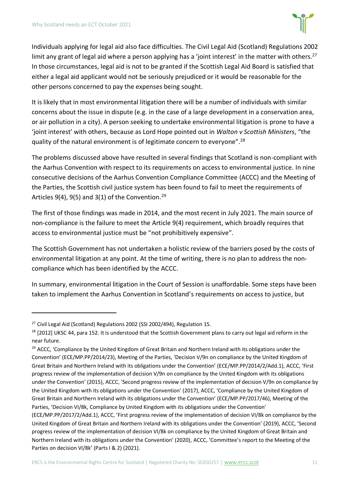

Individuals applying for legal aid also face difficulties. The Civil Legal Aid (Scotland) Regulations 2002 limit any grant of legal aid where a person applying has a 'joint interest' in the matter with others.<sup>27</sup> In those circumstances, legal aid is not to be granted if the Scottish Legal Aid Board is satisfied that either a legal aid applicant would not be seriously prejudiced or it would be reasonable for the other persons concerned to pay the expenses being sought.

It is likely that in most environmental litigation there will be a number of individuals with similar concerns about the issue in dispute (e.g. in the case of a large development in a conservation area, or air pollution in a city). A person seeking to undertake environmental litigation is prone to have a 'joint interest' with others, because as Lord Hope pointed out in *Walton v Scottish Ministers*, "the quality of the natural environment is of legitimate concern to everyone".<sup>28</sup>

The problems discussed above have resulted in several findings that Scotland is non-compliant with the Aarhus Convention with respect to its requirements on access to environmental justice. In nine consecutive decisions of the Aarhus Convention Compliance Committee (ACCC) and the Meeting of the Parties, the Scottish civil justice system has been found to fail to meet the requirements of Articles 9(4), 9(5) and 3(1) of the Convention.<sup>29</sup>

The first of those findings was made in 2014, and the most recent in July 2021. The main source of non-compliance is the failure to meet the Article 9(4) requirement, which broadly requires that access to environmental justice must be "not prohibitively expensive".

The Scottish Government has not undertaken a holistic review of the barriers posed by the costs of environmental litigation at any point. At the time of writing, there is no plan to address the noncompliance which has been identified by the ACCC.

In summary, environmental litigation in the Court of Session is unaffordable. Some steps have been taken to implement the Aarhus Convention in Scotland's requirements on access to justice, but

<sup>&</sup>lt;sup>27</sup> Civil Legal Aid (Scotland) Regulations 2002 (SSI 2002/494), Regulation 15.

<sup>&</sup>lt;sup>28</sup> [2012] UKSC 44, para 152. It is understood that the Scottish Government plans to carry out legal aid reform in the near future.

<sup>&</sup>lt;sup>29</sup> ACCC, 'Compliance by the United Kingdom of Great Britain and Northern Ireland with its obligations under the Convention' (ECE/MP.PP/2014/23), Meeting of the Parties, 'Decision V/9n on compliance by the United Kingdom of Great Britain and Northern Ireland with its obligations under the Convention' (ECE/MP.PP/2014/2/Add.1), ACCC, 'First progress review of the implementation of decision V/9n on compliance by the United Kingdom with its obligations under the Convention' (2015), ACCC, 'Second progress review of the implementation of decision V/9n on compliance by the United Kingdom with its obligations under the Convention' (2017), ACCC, 'Compliance by the United Kingdom of Great Britain and Northern Ireland with its obligations under the Convention' (ECE/MP.PP/2017/46), Meeting of the Parties, 'Decision VI/8k, Compliance by United Kingdom with its obligations under the Convention'

<sup>(</sup>ECE/MP.PP/2017/2/Add.1), ACCC, 'First progress review of the implementation of decision VI/8k on compliance by the United Kingdom of Great Britain and Northern Ireland with its obligations under the Convention' (2019), ACCC, 'Second progress review of the implementation of decision VI/8k on compliance by the United Kingdom of Great Britain and Northern Ireland with its obligations under the Convention' (2020), ACCC, 'Committee's report to the Meeting of the Parties on decision VI/8k' (Parts I & 2) (2021).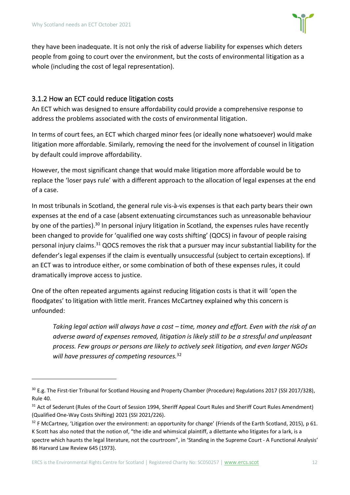

they have been inadequate. It is not only the risk of adverse liability for expenses which deters people from going to court over the environment, but the costs of environmental litigation as a whole (including the cost of legal representation).

#### 3.1.2 How an ECT could reduce litigation costs

An ECT which was designed to ensure affordability could provide a comprehensive response to address the problems associated with the costs of environmental litigation.

In terms of court fees, an ECT which charged minor fees (or ideally none whatsoever) would make litigation more affordable. Similarly, removing the need for the involvement of counsel in litigation by default could improve affordability.

However, the most significant change that would make litigation more affordable would be to replace the 'loser pays rule' with a different approach to the allocation of legal expenses at the end of a case.

In most tribunals in Scotland, the general rule vis-à-vis expenses is that each party bears their own expenses at the end of a case (absent extenuating circumstances such as unreasonable behaviour by one of the parties).<sup>30</sup> In personal injury litigation in Scotland, the expenses rules have recently been changed to provide for 'qualified one way costs shifting' (QOCS) in favour of people raising personal injury claims.<sup>31</sup> QOCS removes the risk that a pursuer may incur substantial liability for the defender's legal expenses if the claim is eventually unsuccessful (subject to certain exceptions). If an ECT was to introduce either, or some combination of both of these expenses rules, it could dramatically improve access to justice.

One of the often repeated arguments against reducing litigation costs is that it will 'open the floodgates' to litigation with little merit. Frances McCartney explained why this concern is unfounded:

*Taking legal action will always have a cost – time, money and effort. Even with the risk of an adverse award of expenses removed, litigation is likely still to be a stressful and unpleasant process. Few groups or persons are likely to actively seek litigation, and even larger NGOs will have pressures of competing resources.*<sup>32</sup>

<sup>&</sup>lt;sup>30</sup> E.g. The First-tier Tribunal for Scotland Housing and Property Chamber (Procedure) Regulations 2017 (SSI 2017/328), Rule 40.

<sup>&</sup>lt;sup>31</sup> Act of Sederunt (Rules of the Court of Session 1994, Sheriff Appeal Court Rules and Sheriff Court Rules Amendment) (Qualified One-Way Costs Shifting) 2021 (SSI 2021/226).

 $32$  F McCartney, 'Litigation over the environment: an opportunity for change' (Friends of the Earth Scotland, 2015), p 61. K Scott has also noted that the notion of, "the idle and whimsical plaintiff, a dilettante who litigates for a lark, is a spectre which haunts the legal literature, not the courtroom", in 'Standing in the Supreme Court - A Functional Analysis' 86 Harvard Law Review 645 (1973).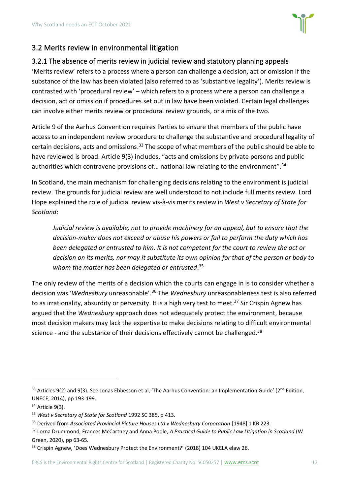

#### <span id="page-12-0"></span>3.2 Merits review in environmental litigation

#### <span id="page-12-1"></span>3.2.1 The absence of merits review in judicial review and statutory planning appeals

'Merits review' refers to a process where a person can challenge a decision, act or omission if the substance of the law has been violated (also referred to as 'substantive legality'). Merits review is contrasted with 'procedural review' – which refers to a process where a person can challenge a decision, act or omission if procedures set out in law have been violated. Certain legal challenges can involve either merits review or procedural review grounds, or a mix of the two.

Article 9 of the Aarhus Convention requires Parties to ensure that members of the public have access to an independent review procedure to challenge the substantive and procedural legality of certain decisions, acts and omissions. <sup>33</sup> The scope of what members of the public should be able to have reviewed is broad. Article 9(3) includes, "acts and omissions by private persons and public authorities which contravene provisions of... national law relating to the environment".<sup>34</sup>

In Scotland, the main mechanism for challenging decisions relating to the environment is judicial review. The grounds for judicial review are well understood to not include full merits review. Lord Hope explained the role of judicial review vis-à-vis merits review in *West v Secretary of State for Scotland*:

*Judicial review is available, not to provide machinery for an appeal, but to ensure that the decision-maker does not exceed or abuse his powers or fail to perform the duty which has been delegated or entrusted to him. It is not competent for the court to review the act or decision on its merits, nor may it substitute its own opinion for that of the person or body to whom the matter has been delegated or entrusted*. 35

The only review of the merits of a decision which the courts can engage in is to consider whether a decision was '*Wednesbury* unreasonable'.<sup>36</sup> The *Wednesbury* unreasonableness test is also referred to as irrationality, absurdity or perversity. It is a high very test to meet.<sup>37</sup> Sir Crispin Agnew has argued that the *Wednesbury* approach does not adequately protect the environment, because most decision makers may lack the expertise to make decisions relating to difficult environmental science - and the substance of their decisions effectively cannot be challenged.<sup>38</sup>

<sup>33</sup> Articles 9(2) and 9(3). See Jonas Ebbesson et al, 'The Aarhus Convention: an Implementation Guide' (2<sup>nd</sup> Edition, UNECE, 2014), pp 193-199.

<sup>34</sup> Article 9(3).

<sup>35</sup> *West v Secretary of State for Scotland* 1992 SC 385, p 413.

<sup>36</sup> Derived from *Associated Provincial Picture Houses Ltd v Wednesbury Corporation* [1948] 1 KB 223.

<sup>37</sup> Lorna Drummond, Frances McCartney and Anna Poole, *A Practical Guide to Public Law Litigation in Scotland* (W Green, 2020), pp 63-65.

<sup>&</sup>lt;sup>38</sup> Crispin Agnew, 'Does Wednesbury Protect the Environment?' (2018) 104 UKELA elaw 26.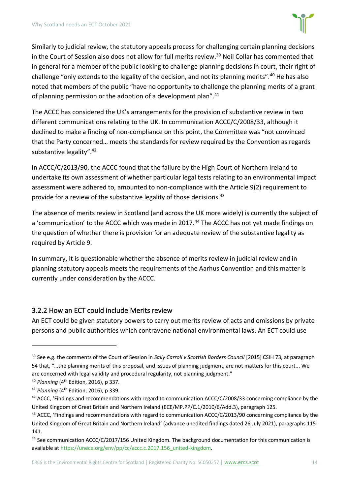

Similarly to judicial review, the statutory appeals process for challenging certain planning decisions in the Court of Session also does not allow for full merits review. <sup>39</sup> Neil Collar has commented that in general for a member of the public looking to challenge planning decisions in court, their right of challenge "only extends to the legality of the decision, and not its planning merits".<sup>40</sup> He has also noted that members of the public "have no opportunity to challenge the planning merits of a grant of planning permission or the adoption of a development plan".<sup>41</sup>

The ACCC has considered the UK's arrangements for the provision of substantive review in two different communications relating to the UK. In communication ACCC/C/2008/33, although it declined to make a finding of non-compliance on this point, the Committee was "not convinced that the Party concerned… meets the standards for review required by the Convention as regards substantive legality".<sup>42</sup>

In ACCC/C/2013/90, the ACCC found that the failure by the High Court of Northern Ireland to undertake its own assessment of whether particular legal tests relating to an environmental impact assessment were adhered to, amounted to non-compliance with the Article 9(2) requirement to provide for a review of the substantive legality of those decisions.<sup>43</sup>

The absence of merits review in Scotland (and across the UK more widely) is currently the subject of a 'communication' to the ACCC which was made in 2017.<sup>44</sup> The ACCC has not yet made findings on the question of whether there is provision for an adequate review of the substantive legality as required by Article 9.

In summary, it is questionable whether the absence of merits review in judicial review and in planning statutory appeals meets the requirements of the Aarhus Convention and this matter is currently under consideration by the ACCC.

#### 3.2.2 How an ECT could include Merits review

An ECT could be given statutory powers to carry out merits review of acts and omissions by private persons and public authorities which contravene national environmental laws. An ECT could use

<sup>39</sup> See e.g. the comments of the Court of Session in *Sally Carroll v Scottish Borders Council* [2015] CSIH 73, at paragraph 54 that, "…the planning merits of this proposal, and issues of planning judgment, are not matters for this court... We are concerned with legal validity and procedural regularity, not planning judgment."

<sup>40</sup> *Planning* (4th Edition, 2016), p 337.

<sup>41</sup> *Planning* (4th Edition, 2016), p 339.

<sup>&</sup>lt;sup>42</sup> ACCC, 'Findings and recommendations with regard to communication ACCC/C/2008/33 concerning compliance by the United Kingdom of Great Britain and Northern Ireland (ECE/MP.PP/C.1/2010/6/Add.3), paragraph 125.

<sup>43</sup> ACCC, 'Findings and recommendations with regard to communication ACCC/C/2013/90 concerning compliance by the United Kingdom of Great Britain and Northern Ireland' (advance unedited findings dated 26 July 2021), paragraphs 115- 141.

<sup>44</sup> See communication ACCC/C/2017/156 United Kingdom. The background documentation for this communication is available a[t https://unece.org/env/pp/cc/accc.c.2017.156\\_united-kingdom.](https://unece.org/env/pp/cc/accc.c.2017.156_united-kingdom)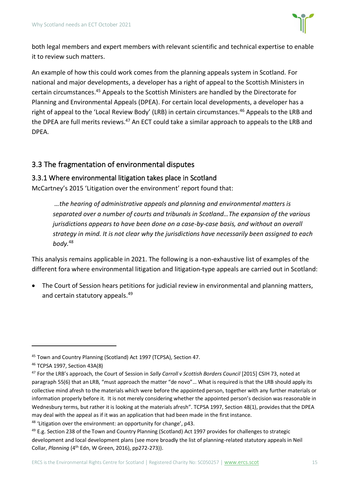

both legal members and expert members with relevant scientific and technical expertise to enable it to review such matters.

An example of how this could work comes from the planning appeals system in Scotland. For national and major developments, a developer has a right of appeal to the Scottish Ministers in certain circumstances.<sup>45</sup> Appeals to the Scottish Ministers are handled by the Directorate for Planning and Environmental Appeals (DPEA). For certain local developments, a developer has a right of appeal to the 'Local Review Body' (LRB) in certain circumstances.<sup>46</sup> Appeals to the LRB and the DPEA are full merits reviews.<sup>47</sup> An ECT could take a similar approach to appeals to the LRB and DPEA.

#### <span id="page-14-0"></span>3.3 The fragmentation of environmental disputes

#### 3.3.1 Where environmental litigation takes place in Scotland

McCartney's 2015 'Litigation over the environment' report found that:

*…the hearing of administrative appeals and planning and environmental matters is separated over a number of courts and tribunals in Scotland…The expansion of the various jurisdictions appears to have been done on a case-by-case basis, and without an overall strategy in mind. It is not clear why the jurisdictions have necessarily been assigned to each body.*<sup>48</sup>

This analysis remains applicable in 2021. The following is a non-exhaustive list of examples of the different fora where environmental litigation and litigation-type appeals are carried out in Scotland:

• The Court of Session hears petitions for judicial review in environmental and planning matters, and certain statutory appeals.<sup>49</sup>

<sup>45</sup> Town and Country Planning (Scotland) Act 1997 (TCPSA), Section 47.

<sup>46</sup> TCPSA 1997, Section 43A(8)

<sup>47</sup> For the LRB's approach, the Court of Session in *Sally Carroll v Scottish Borders Council* [2015] CSIH 73, noted at paragraph 55(6) that an LRB, "must approach the matter "de novo"… What is required is that the LRB should apply its collective mind afresh to the materials which were before the appointed person, together with any further materials or information properly before it. It is not merely considering whether the appointed person's decision was reasonable in Wednesbury terms, but rather it is looking at the materials afresh". TCPSA 1997, Section 48(1), provides that the DPEA may deal with the appeal as if it was an application that had been made in the first instance.

<sup>&</sup>lt;sup>48</sup> 'Litigation over the environment: an opportunity for change', p43.

<sup>&</sup>lt;sup>49</sup> E.g. Section 238 of the Town and Country Planning (Scotland) Act 1997 provides for challenges to strategic development and local development plans (see more broadly the list of planning-related statutory appeals in Neil Collar, *Planning* (4th Edn, W Green, 2016), pp272-273)).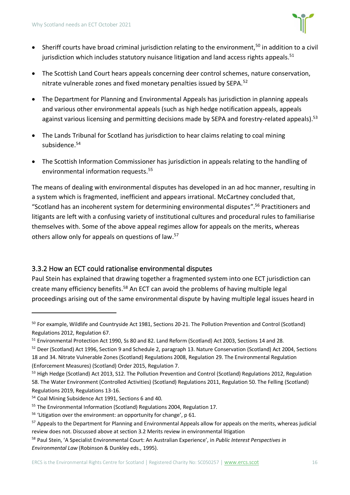

- Sheriff courts have broad criminal jurisdiction relating to the environment,<sup>50</sup> in addition to a civil jurisdiction which includes statutory nuisance litigation and land access rights appeals. $51$
- The Scottish Land Court hears appeals concerning deer control schemes, nature conservation, nitrate vulnerable zones and fixed monetary penalties issued by SEPA.<sup>52</sup>
- The Department for Planning and Environmental Appeals has jurisdiction in planning appeals and various other environmental appeals (such as high hedge notification appeals, appeals against various licensing and permitting decisions made by SEPA and forestry-related appeals).<sup>53</sup>
- The Lands Tribunal for Scotland has jurisdiction to hear claims relating to coal mining subsidence.<sup>54</sup>
- The Scottish Information Commissioner has jurisdiction in appeals relating to the handling of environmental information requests.<sup>55</sup>

The means of dealing with environmental disputes has developed in an ad hoc manner, resulting in a system which is fragmented, inefficient and appears irrational. McCartney concluded that, "Scotland has an incoherent system for determining environmental disputes". <sup>56</sup> Practitioners and litigants are left with a confusing variety of institutional cultures and procedural rules to familiarise themselves with. Some of the above appeal regimes allow for appeals on the merits, whereas others allow only for appeals on questions of law.<sup>57</sup>

#### 3.3.2 How an ECT could rationalise environmental disputes

Paul Stein has explained that drawing together a fragmented system into one ECT jurisdiction can create many efficiency benefits.<sup>58</sup> An ECT can avoid the problems of having multiple legal proceedings arising out of the same environmental dispute by having multiple legal issues heard in

<sup>50</sup> For example, Wildlife and Countryside Act 1981, Sections 20-21. The Pollution Prevention and Control (Scotland) Regulations 2012, Regulation 67.

<sup>51</sup> Environmental Protection Act 1990, Ss 80 and 82. Land Reform (Scotland) Act 2003, Sections 14 and 28.

<sup>52</sup> Deer (Scotland) Act 1996, Section 9 and Schedule 2, paragraph 13. Nature Conservation (Scotland) Act 2004, Sections 18 and 34. Nitrate Vulnerable Zones (Scotland) Regulations 2008, Regulation 29. The Environmental Regulation (Enforcement Measures) (Scotland) Order 2015, Regulation 7.

<sup>53</sup> High Hedge (Scotland) Act 2013, S12. The Pollution Prevention and Control (Scotland) Regulations 2012, Regulation 58. The Water Environment (Controlled Activities) (Scotland) Regulations 2011, Regulation 50. The Felling (Scotland) Regulations 2019, Regulations 13-16.

<sup>54</sup> Coal Mining Subsidence Act 1991, Sections 6 and 40.

<sup>55</sup> The Environmental Information (Scotland) Regulations 2004, Regulation 17.

<sup>&</sup>lt;sup>56</sup> 'Litigation over the environment: an opportunity for change', p 61.

<sup>&</sup>lt;sup>57</sup> Appeals to the Department for Planning and Environmental Appeals allow for appeals on the merits, whereas judicial review does not. Discussed above at section 3.2 Merits review [in environmental litigation](#page-12-0)

<sup>58</sup> Paul Stein, 'A Specialist Environmental Court: An Australian Experience', in *Public Interest Perspectives in Environmental Law* (Robinson & Dunkley eds., 1995).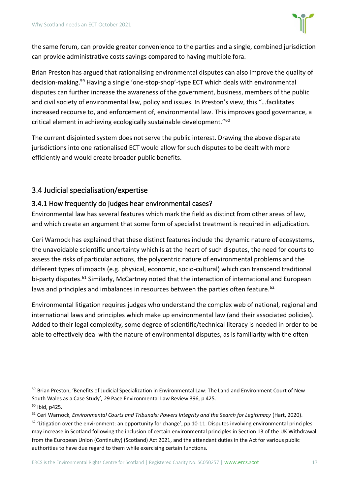

the same forum, can provide greater convenience to the parties and a single, combined jurisdiction can provide administrative costs savings compared to having multiple fora.

Brian Preston has argued that rationalising environmental disputes can also improve the quality of decision-making.<sup>59</sup> Having a single 'one-stop-shop'-type ECT which deals with environmental disputes can further increase the awareness of the government, business, members of the public and civil society of environmental law, policy and issues. In Preston's view, this "…facilitates increased recourse to, and enforcement of, environmental law. This improves good governance, a critical element in achieving ecologically sustainable development."<sup>60</sup>

The current disjointed system does not serve the public interest. Drawing the above disparate jurisdictions into one rationalised ECT would allow for such disputes to be dealt with more efficiently and would create broader public benefits.

#### <span id="page-16-0"></span>3.4 Judicial specialisation/expertise

#### <span id="page-16-1"></span>3.4.1 How frequently do judges hear environmental cases?

Environmental law has several features which mark the field as distinct from other areas of law, and which create an argument that some form of specialist treatment is required in adjudication.

Ceri Warnock has explained that these distinct features include the dynamic nature of ecosystems, the unavoidable scientific uncertainty which is at the heart of such disputes, the need for courts to assess the risks of particular actions, the polycentric nature of environmental problems and the different types of impacts (e.g. physical, economic, socio-cultural) which can transcend traditional bi-party disputes.<sup>61</sup> Similarly, McCartney noted that the interaction of international and European laws and principles and imbalances in resources between the parties often feature.<sup>62</sup>

Environmental litigation requires judges who understand the complex web of national, regional and international laws and principles which make up environmental law (and their associated policies). Added to their legal complexity, some degree of scientific/technical literacy is needed in order to be able to effectively deal with the nature of environmental disputes, as is familiarity with the often

<sup>&</sup>lt;sup>59</sup> Brian Preston, 'Benefits of Judicial Specialization in Environmental Law: The Land and Environment Court of New South Wales as a Case Study', 29 Pace Environmental Law Review 396, p 425.  $60$  Ibid, p425.

<sup>61</sup> Ceri Warnock, *Environmental Courts and Tribunals: Powers Integrity and the Search for Legitimacy* (Hart, 2020).

 $62$  'Litigation over the environment: an opportunity for change', pp 10-11. Disputes involving environmental principles may increase in Scotland following the inclusion of certain environmental principles in Section 13 of the UK Withdrawal from the European Union (Continuity) (Scotland) Act 2021, and the attendant duties in the Act for various public authorities to have due regard to them while exercising certain functions.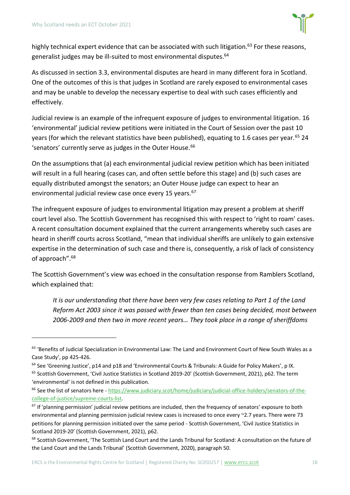

highly technical expert evidence that can be associated with such litigation.<sup>63</sup> For these reasons, generalist judges may be ill-suited to most environmental disputes.<sup>64</sup>

As discussed in section 3.3, environmental disputes are heard in many different fora in Scotland. One of the outcomes of this is that judges in Scotland are rarely exposed to environmental cases and may be unable to develop the necessary expertise to deal with such cases efficiently and effectively.

Judicial review is an example of the infrequent exposure of judges to environmental litigation. 16 'environmental' judicial review petitions were initiated in the Court of Session over the past 10 years (for which the relevant statistics have been published), equating to 1.6 cases per year.  $65$  24 'senators' currently serve as judges in the Outer House.<sup>66</sup>

On the assumptions that (a) each environmental judicial review petition which has been initiated will result in a full hearing (cases can, and often settle before this stage) and (b) such cases are equally distributed amongst the senators; an Outer House judge can expect to hear an environmental judicial review case once every 15 years.<sup>67</sup>

The infrequent exposure of judges to environmental litigation may present a problem at sheriff court level also. The Scottish Government has recognised this with respect to 'right to roam' cases. A recent consultation document explained that the current arrangements whereby such cases are heard in sheriff courts across Scotland, "mean that individual sheriffs are unlikely to gain extensive expertise in the determination of such case and there is, consequently, a risk of lack of consistency of approach". 68

The Scottish Government's view was echoed in the consultation response from Ramblers Scotland, which explained that:

*It is our understanding that there have been very few cases relating to Part 1 of the Land Reform Act 2003 since it was passed with fewer than ten cases being decided, most between 2006-2009 and then two in more recent years… They took place in a range of sheriffdoms* 

<sup>63 &#</sup>x27;Benefits of Judicial Specialization in Environmental Law: The Land and Environment Court of New South Wales as a Case Study', pp 425-426.

<sup>64</sup> See 'Greening Justice', p14 and p18 and 'Environmental Courts & Tribunals: A Guide for Policy Makers', p IX.

<sup>65</sup> Scottish Government, 'Civil Justice Statistics in Scotland 2019-20' (Scottish Government, 2021), p62. The term 'environmental' is not defined in this publication.

<sup>66</sup> See the list of senators here - [https://www.judiciary.scot/home/judiciary/judicial-office-holders/senators-of-the](https://www.judiciary.scot/home/judiciary/judicial-office-holders/senators-of-the-college-of-justice/supreme-courts-list)[college-of-justice/supreme-courts-list.](https://www.judiciary.scot/home/judiciary/judicial-office-holders/senators-of-the-college-of-justice/supreme-courts-list)

 $67$  If 'planning permission' judicial review petitions are included, then the frequency of senators' exposure to both environmental and planning permission judicial review cases is increased to once every ~2.7 years. There were 73 petitions for planning permission initiated over the same period - Scottish Government, 'Civil Justice Statistics in Scotland 2019-20' (Scottish Government, 2021), p62.

<sup>68</sup> Scottish Government, 'The Scottish Land Court and the Lands Tribunal for Scotland: A consultation on the future of the Land Court and the Lands Tribunal' (Scottish Government, 2020), paragraph 50.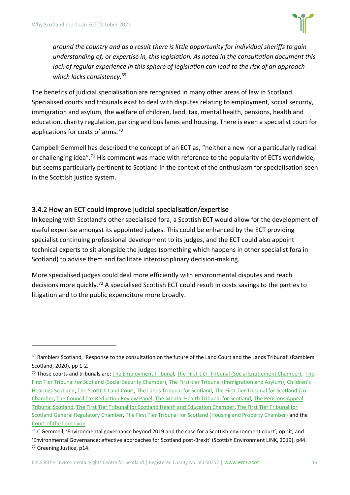

*around the country and as a result there is little opportunity for individual sheriffs to gain understanding of, or expertise in, this legislation. As noted in the consultation document this lack of regular experience in this sphere of legislation can lead to the risk of an approach which lacks consistency.*<sup>69</sup>

The benefits of judicial specialisation are recognised in many other areas of law in Scotland. Specialised courts and tribunals exist to deal with disputes relating to employment, social security, immigration and asylum, the welfare of children, land, tax, mental health, pensions, health and education, charity regulation, parking and bus lanes and housing. There is even a specialist court for applications for coats of arms.<sup>70</sup>

Campbell Gemmell has described the concept of an ECT as, "neither a new nor a particularly radical or challenging idea".<sup>71</sup> His comment was made with reference to the popularity of ECTs worldwide, but seems particularly pertinent to Scotland in the context of the enthusiasm for specialisation seen in the Scottish justice system.

#### 3.4.2 How an ECT could improve judicial specialisation/expertise

In keeping with Scotland's other specialised fora, a Scottish ECT would allow for the development of useful expertise amongst its appointed judges. This could be enhanced by the ECT providing specialist continuing professional development to its judges, and the ECT could also appoint technical experts to sit alongside the judges (something which happens in other specialist fora in Scotland) to advise them and facilitate interdisciplinary decision-making.

More specialised judges could deal more efficiently with environmental disputes and reach decisions more quickly.<sup>72</sup> A specialised Scottish ECT could result in costs savings to the parties to litigation and to the public expenditure more broadly.

<sup>&</sup>lt;sup>69</sup> Ramblers Scotland, 'Response to the consultation on the future of the Land Court and the Lands Tribunal' (Ramblers Scotland, 2020), pp 1-2.

<sup>&</sup>lt;sup>70</sup> Those courts and tribunals are: [The Employment Tribunal,](https://www.gov.uk/courts-tribunals/employment-tribunal) [The First-tier Tribunal \(Social Entitlement Chamber\),](https://www.gov.uk/appeal-benefit-decision) The [First Tier Tribunal for Scotland \(Social Security Chamber\),](https://www.socialsecuritychamber.scot/home) [The First-tier Tribunal \(Immigration and Asylum\),](https://www.gov.uk/courts-tribunals/first-tier-tribunal-immigration-and-asylum) [Children's](https://www.chscotland.gov.uk/)  [Hearings Scotland,](https://www.chscotland.gov.uk/) [The Scottish Land Court,](http://www.scottish-land-court.org.uk/) [The Lands Tribunal for Scotland,](http://www.lands-tribunal-scotland.org.uk/contact/office-and-staff) [The First Tier Tribunal for Scotland Tax](http://www.taxtribunals.scot/)  [Chamber,](http://www.taxtribunals.scot/) [The Council Tax Reduction Review Panel,](https://www.counciltaxreductionreview.scot/) [The Mental Health Tribunal for Scotland,](https://www.mhtscotland.gov.uk/mhts/Home/Welcome_to_the_Mental_Health_Tribunal) [The Pensions Appeal](https://www.patscotland.org.uk/)  [Tribunal Scotland,](https://www.patscotland.org.uk/) [The First Tier Tribunal for Scotland Health and Education Chamber,](https://www.healthandeducationchamber.scot/) [The First Tier Tribunal for](https://www.generalregulatorychamber.scot/)  [Scotland General Regulatory Chamber,](https://www.generalregulatorychamber.scot/) [The First Tier Tribunal for Scotland \(Housing and Property Chamber\)](https://www.housingandpropertychamber.scot/home) and the [Court of the Lord Lyon.](https://www.courtofthelordlyon.scot/)

<sup>&</sup>lt;sup>71</sup> C Gemmell, 'Environmental governance beyond 2019 and the case for a Scottish environment court', op cit, and 'Environmental Governance: effective approaches for Scotland post-Brexit' (Scottish Environment LINK, 2019), p44. <sup>72</sup> Greening Justice, p14.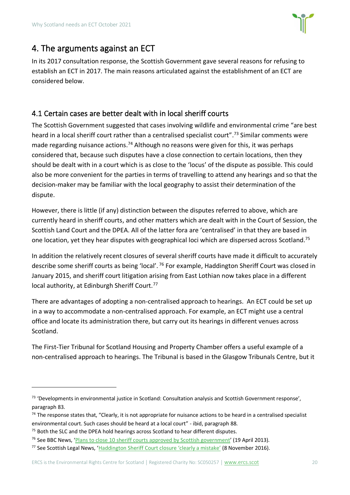

# <span id="page-19-0"></span>4. The arguments against an ECT

In its 2017 consultation response, the Scottish Government gave several reasons for refusing to establish an ECT in 2017. The main reasons articulated against the establishment of an ECT are considered below.

#### <span id="page-19-1"></span>4.1 Certain cases are better dealt with in local sheriff courts

The Scottish Government suggested that cases involving wildlife and environmental crime "are best heard in a local sheriff court rather than a centralised specialist court".<sup>73</sup> Similar comments were made regarding nuisance actions.<sup>74</sup> Although no reasons were given for this, it was perhaps considered that, because such disputes have a close connection to certain locations, then they should be dealt with in a court which is as close to the 'locus' of the dispute as possible. This could also be more convenient for the parties in terms of travelling to attend any hearings and so that the decision-maker may be familiar with the local geography to assist their determination of the dispute.

However, there is little (if any) distinction between the disputes referred to above, which are currently heard in sheriff courts, and other matters which are dealt with in the Court of Session, the Scottish Land Court and the DPEA. All of the latter fora are 'centralised' in that they are based in one location, yet they hear disputes with geographical loci which are dispersed across Scotland.<sup>75</sup>

In addition the relatively recent closures of several sheriff courts have made it difficult to accurately describe some sheriff courts as being 'local'. <sup>76</sup> For example, Haddington Sheriff Court was closed in January 2015, and sheriff court litigation arising from East Lothian now takes place in a different local authority, at Edinburgh Sheriff Court.<sup>77</sup>

There are advantages of adopting a non-centralised approach to hearings. An ECT could be set up in a way to accommodate a non-centralised approach. For example, an ECT might use a central office and locate its administration there, but carry out its hearings in different venues across Scotland.

The First-Tier Tribunal for Scotland Housing and Property Chamber offers a useful example of a non-centralised approach to hearings. The Tribunal is based in the Glasgow Tribunals Centre, but it

<sup>73</sup> 'Developments in environmental justice in Scotland: Consultation analysis and Scottish Government response', paragraph 83.

 $74$  The response states that, "Clearly, it is not appropriate for nuisance actions to be heard in a centralised specialist environmental court. Such cases should be heard at a local court" - ibid, paragraph 88.

<sup>&</sup>lt;sup>75</sup> Both the SLC and the DPEA hold hearings across Scotland to hear different disputes.

<sup>&</sup>lt;sup>76</sup> See BBC News, '[Plans to close 10 sheriff courts approved by Scottish government](https://www.bbc.co.uk/news/uk-scotland-22215741)' (19 April 2013).

<sup>77</sup> See Scottish Legal News, ['Haddington Sheriff Court closure 'clearly a mistake'](https://www.scottishlegal.com/article/haddington-sheriff-court-closure-clearly-a-mistake) (8 November 2016).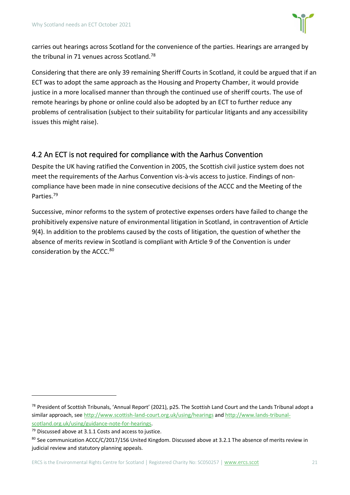

carries out hearings across Scotland for the convenience of the parties. Hearings are arranged by the tribunal in 71 venues across Scotland.<sup>78</sup>

Considering that there are only 39 remaining Sheriff Courts in Scotland, it could be argued that if an ECT was to adopt the same approach as the Housing and Property Chamber, it would provide justice in a more localised manner than through the continued use of sheriff courts. The use of remote hearings by phone or online could also be adopted by an ECT to further reduce any problems of centralisation (subject to their suitability for particular litigants and any accessibility issues this might raise).

#### <span id="page-20-0"></span>4.2 An ECT is not required for compliance with the Aarhus Convention

Despite the UK having ratified the Convention in 2005, the Scottish civil justice system does not meet the requirements of the Aarhus Convention vis-à-vis access to justice. Findings of noncompliance have been made in nine consecutive decisions of the ACCC and the Meeting of the Parties. 79

Successive, minor reforms to the system of protective expenses orders have failed to change the prohibitively expensive nature of environmental litigation in Scotland, in contravention of Article 9(4). In addition to the problems caused by the costs of litigation, the question of whether the absence of merits review in Scotland is compliant with Article 9 of the Convention is under consideration by the ACCC.<sup>80</sup>

<sup>&</sup>lt;sup>78</sup> President of Scottish Tribunals, 'Annual Report' (2021), p25. The Scottish Land Court and the Lands Tribunal adopt a similar approach, se[e http://www.scottish-land-court.org.uk/using/hearings](http://www.scottish-land-court.org.uk/using/hearings) an[d http://www.lands-tribunal](http://www.lands-tribunal-scotland.org.uk/using/guidance-note-for-hearings)[scotland.org.uk/using/guidance-note-for-hearings.](http://www.lands-tribunal-scotland.org.uk/using/guidance-note-for-hearings)

<sup>&</sup>lt;sup>79</sup> Discussed above at [3.1.1 Costs and access to justice.](#page-8-1)

<sup>80</sup> See communication ACCC/C/2017/156 United Kingdom. Discussed above at 3.2.1 The absence of merits review in judicial review [and statutory planning appeals.](#page-12-1)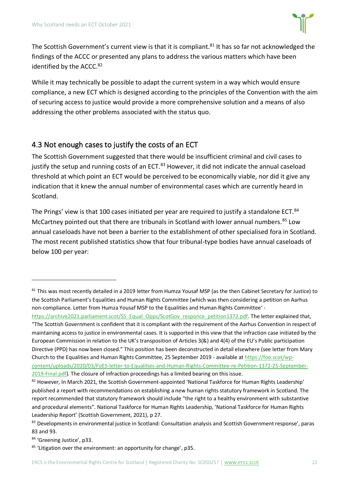

The Scottish Government's current view is that it is compliant.<sup>81</sup> It has so far not acknowledged the findings of the ACCC or presented any plans to address the various matters which have been identified by the ACCC.<sup>82</sup>

While it may technically be possible to adapt the current system in a way which would ensure compliance, a new ECT which is designed according to the principles of the Convention with the aim of securing access to justice would provide a more comprehensive solution and a means of also addressing the other problems associated with the status quo.

#### <span id="page-21-0"></span>4.3 Not enough cases to justify the costs of an ECT

The Scottish Government suggested that there would be insufficient criminal and civil cases to justify the setup and running costs of an ECT.<sup>83</sup> However, it did not indicate the annual caseload threshold at which point an ECT would be perceived to be economically viable, nor did it give any indication that it knew the annual number of environmental cases which are currently heard in Scotland.

The Prings' view is that 100 cases initiated per year are required to justify a standalone ECT.<sup>84</sup> McCartney pointed out that there are tribunals in Scotland with lower annual numbers.<sup>85</sup> Low annual caseloads have not been a barrier to the establishment of other specialised fora in Scotland. The most recent published statistics show that four tribunal-type bodies have annual caseloads of below 100 per year:

[https://archive2021.parliament.scot/S5\\_Equal\\_Opps/ScotGov\\_responce\\_petition1372.pdf.](https://archive2021.parliament.scot/S5_Equal_Opps/ScotGov_responce_petition1372.pdf) The letter explained that, "The Scottish Government is confident that it is compliant with the requirement of the Aarhus Convention in respect of maintaining access to justice in environmental cases. It is supported in this view that the infraction case initiated by the European Commission in relation to the UK's transposition of Articles 3(&) and 4(4) of the EU's Public participation Directive (PPD) has now been closed." This position has been deconstructed in detail elsewhere (see letter from Mary Church to the Equalities and Human Rights Committee, 25 September 2019 - available a[t https://foe.scot/wp](https://foe.scot/wp-content/uploads/2020/03/FoES-letter-to-Equalities-and-Human-Rights-Committee-re-Petition-1372-25-September-2019-Final.pdf)[content/uploads/2020/03/FoES-letter-to-Equalities-and-Human-Rights-Committee-re-Petition-1372-25-September-](https://foe.scot/wp-content/uploads/2020/03/FoES-letter-to-Equalities-and-Human-Rights-Committee-re-Petition-1372-25-September-2019-Final.pdf)[2019-Final.pdf\)](https://foe.scot/wp-content/uploads/2020/03/FoES-letter-to-Equalities-and-Human-Rights-Committee-re-Petition-1372-25-September-2019-Final.pdf). The closure of infraction proceedings has a limited bearing on this issue.

84 'Greening Justice', p33.

 $81$  This was most recently detailed in a 2019 letter from Humza Yousaf MSP (as the then Cabinet Secretary for Justice) to the Scottish Parliament's Equalities and Human Rights Committee (which was then considering a petition on Aarhus non-compliance. Letter from Humza Yousaf MSP to the Equalities and Human Rights Committee' -

<sup>82</sup> However, In March 2021, the Scottish Government-appointed 'National Taskforce for Human Rights Leadership' published a report with recommendations on establishing a new human rights statutory framework in Scotland. The report recommended that statutory framework should include "the right to a healthy environment with substantive and procedural elements". National Taskforce for Human Rights Leadership, 'National Taskforce for Human Rights Leadership Report' (Scottish Government, 2021), p 27.

<sup>83</sup> Developments in environmental justice in Scotland: Consultation analysis and Scottish Government response', paras 83 and 93.

 $85$  'Litigation over the environment: an opportunity for change', p35.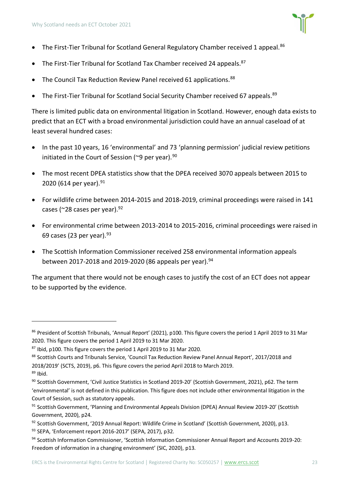- The First-Tier Tribunal for Scotland General Regulatory Chamber received 1 appeal.<sup>86</sup>
- The First-Tier Tribunal for Scotland Tax Chamber received 24 appeals.<sup>87</sup>
- The Council Tax Reduction Review Panel received 61 applications.<sup>88</sup>
- The First-Tier Tribunal for Scotland Social Security Chamber received 67 appeals.  $89$

There is limited public data on environmental litigation in Scotland. However, enough data exists to predict that an ECT with a broad environmental jurisdiction could have an annual caseload of at least several hundred cases:

- In the past 10 years, 16 'environmental' and 73 'planning permission' judicial review petitions initiated in the Court of Session ( $\degree$ 9 per year).<sup>90</sup>
- The most recent DPEA statistics show that the DPEA received 3070 appeals between 2015 to 2020 (614 per year). 91
- For wildlife crime between 2014-2015 and 2018-2019, criminal proceedings were raised in 141 cases ( $\approx$ 28 cases per year).  $92$
- For environmental crime between 2013-2014 to 2015-2016, criminal proceedings were raised in 69 cases (23 per year).  $93$
- The Scottish Information Commissioner received 258 environmental information appeals between 2017-2018 and 2019-2020 (86 appeals per year). 94

The argument that there would not be enough cases to justify the cost of an ECT does not appear to be supported by the evidence.

<sup>86</sup> President of Scottish Tribunals, 'Annual Report' (2021), p100. This figure covers the period 1 April 2019 to 31 Mar 2020. This figure covers the period 1 April 2019 to 31 Mar 2020.

<sup>87</sup> Ibid, p100. This figure covers the period 1 April 2019 to 31 Mar 2020.

<sup>88</sup> Scottish Courts and Tribunals Service, 'Council Tax Reduction Review Panel Annual Report', 2017/2018 and 2018/2019' (SCTS, 2019), p6. This figure covers the period April 2018 to March 2019.

 $89$  Ibid.

<sup>90</sup> Scottish Government, 'Civil Justice Statistics in Scotland 2019-20' (Scottish Government, 2021), p62. The term 'environmental' is not defined in this publication. This figure does not include other environmental litigation in the Court of Session, such as statutory appeals.

<sup>91</sup> Scottish Government, 'Planning and Environmental Appeals Division (DPEA) Annual Review 2019-20' (Scottish Government, 2020), p24.

<sup>92</sup> Scottish Government, '2019 Annual Report: Wildlife Crime in Scotland' (Scottish Government, 2020), p13.

<sup>93</sup> SEPA, 'Enforcement report 2016-2017' (SEPA, 2017), p32.

<sup>94</sup> Scottish Information Commissioner, 'Scottish Information Commissioner Annual Report and Accounts 2019-20: Freedom of information in a changing environment' (SIC, 2020), p13.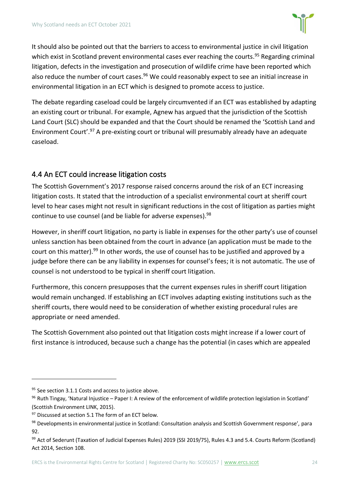

It should also be pointed out that the barriers to access to environmental justice in civil litigation which exist in Scotland prevent environmental cases ever reaching the courts.<sup>95</sup> Regarding criminal litigation, defects in the investigation and prosecution of wildlife crime have been reported which also reduce the number of court cases.<sup>96</sup> We could reasonably expect to see an initial increase in environmental litigation in an ECT which is designed to promote access to justice.

The debate regarding caseload could be largely circumvented if an ECT was established by adapting an existing court or tribunal. For example, Agnew has argued that the jurisdiction of the Scottish Land Court (SLC) should be expanded and that the Court should be renamed the 'Scottish Land and Environment Court'.<sup>97</sup> A pre-existing court or tribunal will presumably already have an adequate caseload.

#### <span id="page-23-0"></span>4.4 An ECT could increase litigation costs

The Scottish Government's 2017 response raised concerns around the risk of an ECT increasing litigation costs. It stated that the introduction of a specialist environmental court at sheriff court level to hear cases might not result in significant reductions in the cost of litigation as parties might continue to use counsel (and be liable for adverse expenses).<sup>98</sup>

However, in sheriff court litigation, no party is liable in expenses for the other party's use of counsel unless sanction has been obtained from the court in advance (an application must be made to the court on this matter).<sup>99</sup> In other words, the use of counsel has to be justified and approved by a judge before there can be any liability in expenses for counsel's fees; it is not automatic. The use of counsel is not understood to be typical in sheriff court litigation.

Furthermore, this concern presupposes that the current expenses rules in sheriff court litigation would remain unchanged. If establishing an ECT involves adapting existing institutions such as the sheriff courts, there would need to be consideration of whether existing procedural rules are appropriate or need amended.

The Scottish Government also pointed out that litigation costs might increase if a lower court of first instance is introduced, because such a change has the potential (in cases which are appealed

<sup>&</sup>lt;sup>95</sup> See section [3.1.1 Costs and access to justice](#page-8-1) above.

 $96$  Ruth Tingay, 'Natural Injustice – Paper I: A review of the enforcement of wildlife protection legislation in Scotland' (Scottish Environment LINK, 2015).

<sup>&</sup>lt;sup>97</sup> Discussed at section 5.1 [The form of an ECT](#page-24-1) below.

<sup>98</sup> Developments in environmental justice in Scotland: Consultation analysis and Scottish Government response', para 92.

<sup>99</sup> Act of Sederunt (Taxation of Judicial Expenses Rules) 2019 (SSI 2019/75), Rules 4.3 and 5.4. Courts Reform (Scotland) Act 2014, Section 108.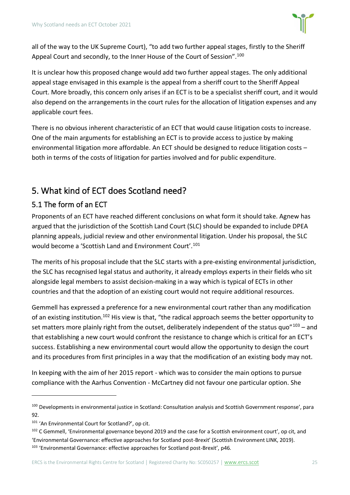

all of the way to the UK Supreme Court), "to add two further appeal stages, firstly to the Sheriff Appeal Court and secondly, to the Inner House of the Court of Session".<sup>100</sup>

It is unclear how this proposed change would add two further appeal stages. The only additional appeal stage envisaged in this example is the appeal from a sheriff court to the Sheriff Appeal Court. More broadly, this concern only arises if an ECT is to be a specialist sheriff court, and it would also depend on the arrangements in the court rules for the allocation of litigation expenses and any applicable court fees.

There is no obvious inherent characteristic of an ECT that would cause litigation costs to increase. One of the main arguments for establishing an ECT is to provide access to justice by making environmental litigation more affordable. An ECT should be designed to reduce litigation costs – both in terms of the costs of litigation for parties involved and for public expenditure.

# <span id="page-24-0"></span>5. What kind of ECT does Scotland need?

#### <span id="page-24-1"></span>5.1 The form of an ECT

Proponents of an ECT have reached different conclusions on what form it should take. Agnew has argued that the jurisdiction of the Scottish Land Court (SLC) should be expanded to include DPEA planning appeals, judicial review and other environmental litigation. Under his proposal, the SLC would become a 'Scottish Land and Environment Court'.<sup>101</sup>

The merits of his proposal include that the SLC starts with a pre-existing environmental jurisdiction, the SLC has recognised legal status and authority, it already employs experts in their fields who sit alongside legal members to assist decision-making in a way which is typical of ECTs in other countries and that the adoption of an existing court would not require additional resources.

Gemmell has expressed a preference for a new environmental court rather than any modification of an existing institution.<sup>102</sup> His view is that, "the radical approach seems the better opportunity to set matters more plainly right from the outset, deliberately independent of the status quo" $103 -$  and that establishing a new court would confront the resistance to change which is critical for an ECT's success. Establishing a new environmental court would allow the opportunity to design the court and its procedures from first principles in a way that the modification of an existing body may not.

In keeping with the aim of her 2015 report - which was to consider the main options to pursue compliance with the Aarhus Convention - McCartney did not favour one particular option. She

<sup>100</sup> Developments in environmental justice in Scotland: Consultation analysis and Scottish Government response', para 92.

<sup>101</sup> 'An Environmental Court for Scotland?', op cit.

<sup>&</sup>lt;sup>102</sup> C Gemmell, 'Environmental governance beyond 2019 and the case for a Scottish environment court', op cit, and 'Environmental Governance: effective approaches for Scotland post-Brexit' (Scottish Environment LINK, 2019). 103 'Environmental Governance: effective approaches for Scotland post-Brexit', p46.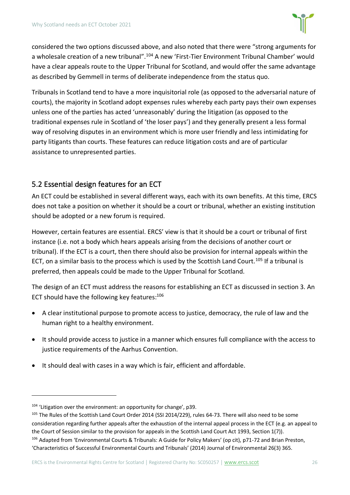

considered the two options discussed above, and also noted that there were "strong arguments for a wholesale creation of a new tribunal".<sup>104</sup> A new 'First-Tier Environment Tribunal Chamber' would have a clear appeals route to the Upper Tribunal for Scotland, and would offer the same advantage as described by Gemmell in terms of deliberate independence from the status quo.

Tribunals in Scotland tend to have a more inquisitorial role (as opposed to the adversarial nature of courts), the majority in Scotland adopt expenses rules whereby each party pays their own expenses unless one of the parties has acted 'unreasonably' during the litigation (as opposed to the traditional expenses rule in Scotland of 'the loser pays') and they generally present a less formal way of resolving disputes in an environment which is more user friendly and less intimidating for party litigants than courts. These features can reduce litigation costs and are of particular assistance to unrepresented parties.

#### <span id="page-25-0"></span>5.2 Essential design features for an ECT

An ECT could be established in several different ways, each with its own benefits. At this time, ERCS does not take a position on whether it should be a court or tribunal, whether an existing institution should be adopted or a new forum is required.

However, certain features are essential. ERCS' view is that it should be a court or tribunal of first instance (i.e. not a body which hears appeals arising from the decisions of another court or tribunal). If the ECT is a court, then there should also be provision for internal appeals within the ECT, on a similar basis to the process which is used by the Scottish Land Court.<sup>105</sup> If a tribunal is preferred, then appeals could be made to the Upper Tribunal for Scotland.

The design of an ECT must address the reasons for establishing an ECT as discussed in section 3. An ECT should have the following key features:<sup>106</sup>

- A clear institutional purpose to promote access to justice, democracy, the rule of law and the human right to a healthy environment.
- It should provide access to justice in a manner which ensures full compliance with the access to justice requirements of the Aarhus Convention.
- It should deal with cases in a way which is fair, efficient and affordable.

<sup>&</sup>lt;sup>104</sup> 'Litigation over the environment: an opportunity for change', p39.

<sup>&</sup>lt;sup>105</sup> The Rules of the Scottish Land Court Order 2014 (SSI 2014/229), rules 64-73. There will also need to be some consideration regarding further appeals after the exhaustion of the internal appeal process in the ECT (e.g. an appeal to the Court of Session similar to the provision for appeals in the Scottish Land Court Act 1993, Section 1(7)). <sup>106</sup> Adapted from 'Environmental Courts & Tribunals: A Guide for Policy Makers' (op cit), p71-72 and Brian Preston, 'Characteristics of Successful Environmental Courts and Tribunals' (2014) Journal of Environmental 26(3) 365.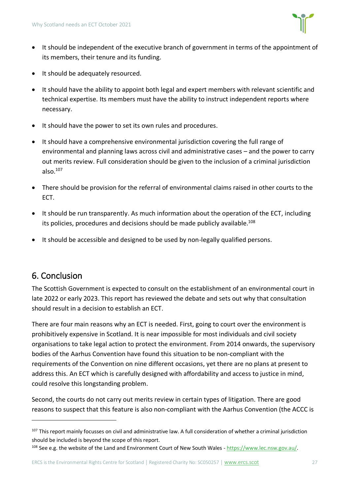

- It should be independent of the executive branch of government in terms of the appointment of its members, their tenure and its funding.
- It should be adequately resourced.
- It should have the ability to appoint both legal and expert members with relevant scientific and technical expertise. Its members must have the ability to instruct independent reports where necessary.
- It should have the power to set its own rules and procedures.
- It should have a comprehensive environmental jurisdiction covering the full range of environmental and planning laws across civil and administrative cases – and the power to carry out merits review. Full consideration should be given to the inclusion of a criminal jurisdiction also. $107$
- There should be provision for the referral of environmental claims raised in other courts to the ECT.
- It should be run transparently. As much information about the operation of the ECT, including its policies, procedures and decisions should be made publicly available.<sup>108</sup>
- It should be accessible and designed to be used by non-legally qualified persons.

# <span id="page-26-0"></span>6. Conclusion

The Scottish Government is expected to consult on the establishment of an environmental court in late 2022 or early 2023. This report has reviewed the debate and sets out why that consultation should result in a decision to establish an ECT.

There are four main reasons why an ECT is needed. First, going to court over the environment is prohibitively expensive in Scotland. It is near impossible for most individuals and civil society organisations to take legal action to protect the environment. From 2014 onwards, the supervisory bodies of the Aarhus Convention have found this situation to be non-compliant with the requirements of the Convention on nine different occasions, yet there are no plans at present to address this. An ECT which is carefully designed with affordability and access to justice in mind, could resolve this longstanding problem.

Second, the courts do not carry out merits review in certain types of litigation. There are good reasons to suspect that this feature is also non-compliant with the Aarhus Convention (the ACCC is

 $107$  This report mainly focusses on civil and administrative law. A full consideration of whether a criminal jurisdiction should be included is beyond the scope of this report.

<sup>108</sup> See e.g. the website of the Land and Environment Court of New South Wales - [https://www.lec.nsw.gov.au/.](https://www.lec.nsw.gov.au/)